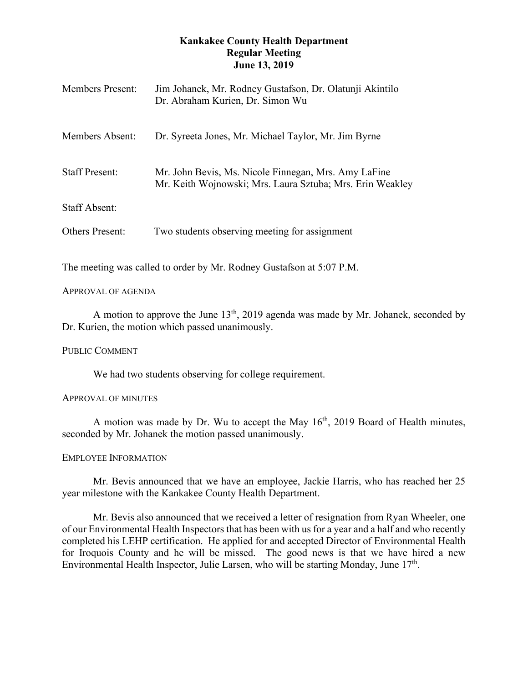# **Kankakee County Health Department Regular Meeting June 13, 2019**

| <b>Members Present:</b> | Jim Johanek, Mr. Rodney Gustafson, Dr. Olatunji Akintilo<br>Dr. Abraham Kurien, Dr. Simon Wu                      |
|-------------------------|-------------------------------------------------------------------------------------------------------------------|
| Members Absent:         | Dr. Syreeta Jones, Mr. Michael Taylor, Mr. Jim Byrne                                                              |
| <b>Staff Present:</b>   | Mr. John Bevis, Ms. Nicole Finnegan, Mrs. Amy LaFine<br>Mr. Keith Wojnowski; Mrs. Laura Sztuba; Mrs. Erin Weakley |
| <b>Staff Absent:</b>    |                                                                                                                   |
| <b>Others Present:</b>  | Two students observing meeting for assignment                                                                     |

The meeting was called to order by Mr. Rodney Gustafson at 5:07 P.M.

## APPROVAL OF AGENDA

A motion to approve the June  $13<sup>th</sup>$ , 2019 agenda was made by Mr. Johanek, seconded by Dr. Kurien, the motion which passed unanimously.

PUBLIC COMMENT

We had two students observing for college requirement.

### APPROVAL OF MINUTES

A motion was made by Dr. Wu to accept the May  $16<sup>th</sup>$ , 2019 Board of Health minutes, seconded by Mr. Johanek the motion passed unanimously.

### EMPLOYEE INFORMATION

Mr. Bevis announced that we have an employee, Jackie Harris, who has reached her 25 year milestone with the Kankakee County Health Department.

Mr. Bevis also announced that we received a letter of resignation from Ryan Wheeler, one of our Environmental Health Inspectors that has been with us for a year and a half and who recently completed his LEHP certification. He applied for and accepted Director of Environmental Health for Iroquois County and he will be missed. The good news is that we have hired a new Environmental Health Inspector, Julie Larsen, who will be starting Monday, June  $17<sup>th</sup>$ .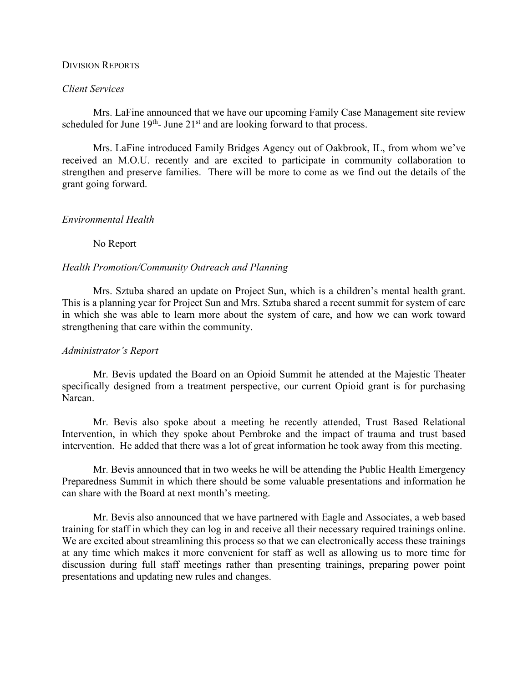#### DIVISION REPORTS

### *Client Services*

Mrs. LaFine announced that we have our upcoming Family Case Management site review scheduled for June  $19<sup>th</sup>$ - June  $21<sup>st</sup>$  and are looking forward to that process.

Mrs. LaFine introduced Family Bridges Agency out of Oakbrook, IL, from whom we've received an M.O.U. recently and are excited to participate in community collaboration to strengthen and preserve families. There will be more to come as we find out the details of the grant going forward.

### *Environmental Health*

No Report

### *Health Promotion/Community Outreach and Planning*

Mrs. Sztuba shared an update on Project Sun, which is a children's mental health grant. This is a planning year for Project Sun and Mrs. Sztuba shared a recent summit for system of care in which she was able to learn more about the system of care, and how we can work toward strengthening that care within the community.

### *Administrator's Report*

Mr. Bevis updated the Board on an Opioid Summit he attended at the Majestic Theater specifically designed from a treatment perspective, our current Opioid grant is for purchasing Narcan.

Mr. Bevis also spoke about a meeting he recently attended, Trust Based Relational Intervention, in which they spoke about Pembroke and the impact of trauma and trust based intervention. He added that there was a lot of great information he took away from this meeting.

Mr. Bevis announced that in two weeks he will be attending the Public Health Emergency Preparedness Summit in which there should be some valuable presentations and information he can share with the Board at next month's meeting.

Mr. Bevis also announced that we have partnered with Eagle and Associates, a web based training for staff in which they can log in and receive all their necessary required trainings online. We are excited about streamlining this process so that we can electronically access these trainings at any time which makes it more convenient for staff as well as allowing us to more time for discussion during full staff meetings rather than presenting trainings, preparing power point presentations and updating new rules and changes.